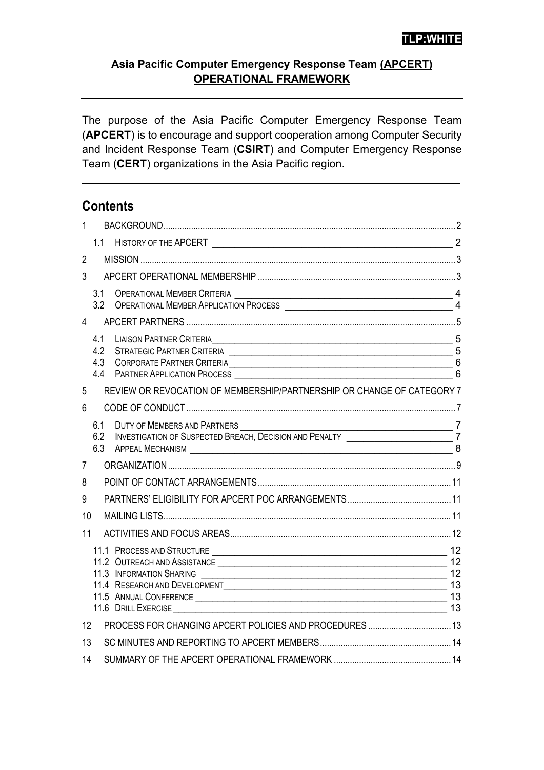#### **Asia Pacific Computer Emergency Response Team (APCERT) OPERATIONAL FRAMEWORK**

The purpose of the Asia Pacific Computer Emergency Response Team (**APCERT**) is to encourage and support cooperation among Computer Security and Incident Response Team (**CSIRT**) and Computer Emergency Response Team (**CERT**) organizations in the Asia Pacific region.

### **Contents**

| $\mathbf{1}$   |                          |                                                                                                                                               |   |  |
|----------------|--------------------------|-----------------------------------------------------------------------------------------------------------------------------------------------|---|--|
|                | 1.1                      |                                                                                                                                               |   |  |
| $\overline{2}$ |                          |                                                                                                                                               |   |  |
| 3              |                          |                                                                                                                                               |   |  |
|                | 3.1<br>3.2               |                                                                                                                                               |   |  |
| 4              |                          |                                                                                                                                               |   |  |
|                | 4.1<br>4.2<br>4.3<br>4.4 | LIAISON PARTNER CRITERIA <sub>2</sub><br>STRATEGIC PARTNER CRITERIA<br>5<br>CORPORATE PARTNER CRITERIA CONSUMING A CORPORATE PARTNER CRITERIA | 6 |  |
| 5              |                          | REVIEW OR REVOCATION OF MEMBERSHIP/PARTNERSHIP OR CHANGE OF CATEGORY 7                                                                        |   |  |
| 6              |                          |                                                                                                                                               |   |  |
|                | 6.1<br>6.2<br>6.3        | DUTY OF MEMBERS AND PARTNERS<br>INVESTIGATION OF SUSPECTED BREACH, DECISION AND PENALTY<br><b>APPEAL MECHANISM</b>                            | 8 |  |
| 7              |                          |                                                                                                                                               |   |  |
| 8              |                          |                                                                                                                                               |   |  |
| 9              |                          |                                                                                                                                               |   |  |
| 10             |                          |                                                                                                                                               |   |  |
| 11             |                          |                                                                                                                                               |   |  |
|                |                          | 11.4 RESEARCH AND DEVELOPMENT 13                                                                                                              |   |  |
| 12             |                          |                                                                                                                                               |   |  |
| 13             |                          |                                                                                                                                               |   |  |
| 14             |                          |                                                                                                                                               |   |  |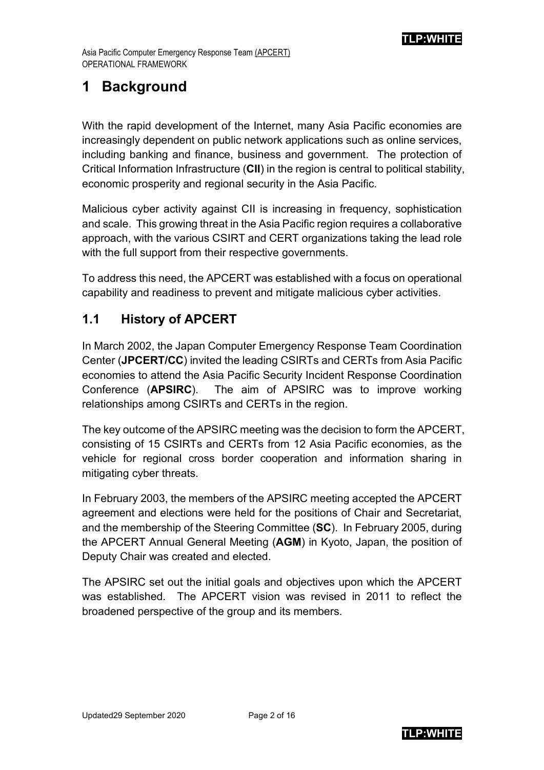## <span id="page-1-0"></span>**1 Background**

With the rapid development of the Internet, many Asia Pacific economies are increasingly dependent on public network applications such as online services, including banking and finance, business and government. The protection of Critical Information Infrastructure (**CII**) in the region is central to political stability, economic prosperity and regional security in the Asia Pacific.

Malicious cyber activity against CII is increasing in frequency, sophistication and scale. This growing threat in the Asia Pacific region requires a collaborative approach, with the various CSIRT and CERT organizations taking the lead role with the full support from their respective governments.

To address this need, the APCERT was established with a focus on operational capability and readiness to prevent and mitigate malicious cyber activities.

### <span id="page-1-1"></span>**1.1 History of APCERT**

In March 2002, the Japan Computer Emergency Response Team Coordination Center (**JPCERT/CC**) invited the leading CSIRTs and CERTs from Asia Pacific economies to attend the Asia Pacific Security Incident Response Coordination Conference (**APSIRC**). The aim of APSIRC was to improve working relationships among CSIRTs and CERTs in the region.

The key outcome of the APSIRC meeting was the decision to form the APCERT, consisting of 15 CSIRTs and CERTs from 12 Asia Pacific economies, as the vehicle for regional cross border cooperation and information sharing in mitigating cyber threats.

In February 2003, the members of the APSIRC meeting accepted the APCERT agreement and elections were held for the positions of Chair and Secretariat, and the membership of the Steering Committee (**SC**). In February 2005, during the APCERT Annual General Meeting (**AGM**) in Kyoto, Japan, the position of Deputy Chair was created and elected.

The APSIRC set out the initial goals and objectives upon which the APCERT was established. The APCERT vision was revised in 2011 to reflect the broadened perspective of the group and its members.

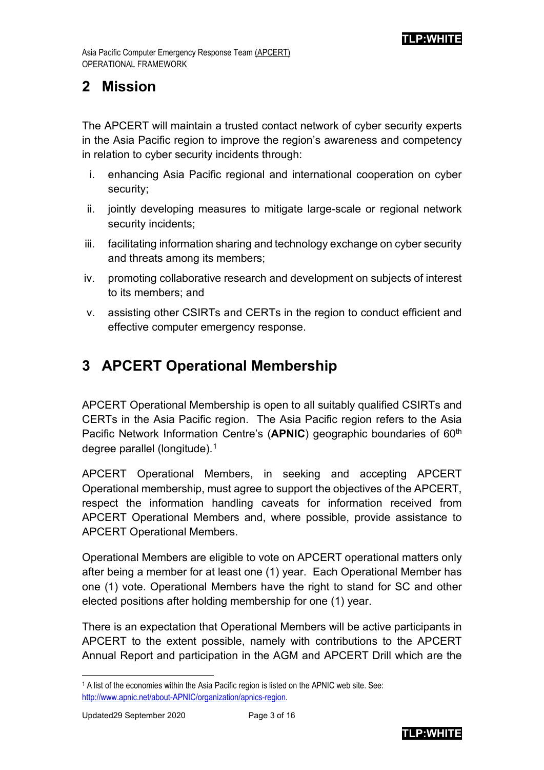### <span id="page-2-0"></span>**2 Mission**

The APCERT will maintain a trusted contact network of cyber security experts in the Asia Pacific region to improve the region's awareness and competency in relation to cyber security incidents through:

- i. enhancing Asia Pacific regional and international cooperation on cyber security;
- ii. jointly developing measures to mitigate large-scale or regional network security incidents;
- iii. facilitating information sharing and technology exchange on cyber security and threats among its members;
- iv. promoting collaborative research and development on subjects of interest to its members; and
- v. assisting other CSIRTs and CERTs in the region to conduct efficient and effective computer emergency response.

# <span id="page-2-1"></span>**3 APCERT Operational Membership**

APCERT Operational Membership is open to all suitably qualified CSIRTs and CERTs in the Asia Pacific region. The Asia Pacific region refers to the Asia Pacific Network Information Centre's (**APNIC**) geographic boundaries of 60<sup>th</sup> degree parallel (longitude).[1](#page-2-2)

APCERT Operational Members, in seeking and accepting APCERT Operational membership, must agree to support the objectives of the APCERT, respect the information handling caveats for information received from APCERT Operational Members and, where possible, provide assistance to APCERT Operational Members.

Operational Members are eligible to vote on APCERT operational matters only after being a member for at least one (1) year. Each Operational Member has one (1) vote. Operational Members have the right to stand for SC and other elected positions after holding membership for one (1) year.

There is an expectation that Operational Members will be active participants in APCERT to the extent possible, namely with contributions to the APCERT Annual Report and participation in the AGM and APCERT Drill which are the



<span id="page-2-2"></span><sup>1</sup> A list of the economies within the Asia Pacific region is listed on the APNIC web site. See: [http://www.apnic.net/about-APNIC/organization/apnics-region.](http://www.apnic.net/about-APNIC/organization/apnics-region)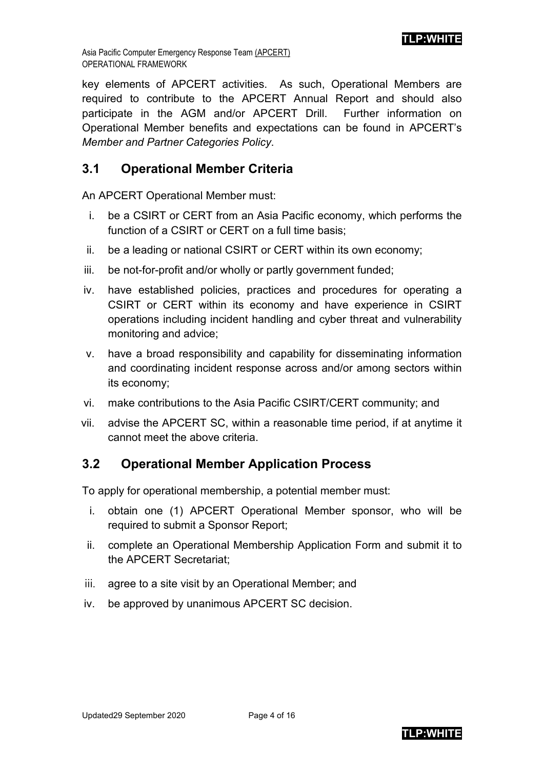**TLP:WHITE**

key elements of APCERT activities. As such, Operational Members are required to contribute to the APCERT Annual Report and should also participate in the AGM and/or APCERT Drill. Further information on Operational Member benefits and expectations can be found in APCERT's *Member and Partner Categories Policy*.

### <span id="page-3-0"></span>**3.1 Operational Member Criteria**

An APCERT Operational Member must:

- i. be a CSIRT or CERT from an Asia Pacific economy, which performs the function of a CSIRT or CERT on a full time basis;
- ii. be a leading or national CSIRT or CERT within its own economy;
- iii. be not-for-profit and/or wholly or partly government funded;
- iv. have established policies, practices and procedures for operating a CSIRT or CERT within its economy and have experience in CSIRT operations including incident handling and cyber threat and vulnerability monitoring and advice;
- v. have a broad responsibility and capability for disseminating information and coordinating incident response across and/or among sectors within its economy;
- vi. make contributions to the Asia Pacific CSIRT/CERT community; and
- vii. advise the APCERT SC, within a reasonable time period, if at anytime it cannot meet the above criteria.

### <span id="page-3-1"></span>**3.2 Operational Member Application Process**

To apply for operational membership, a potential member must:

- i. obtain one (1) APCERT Operational Member sponsor, who will be required to submit a Sponsor Report;
- ii. complete an Operational Membership Application Form and submit it to the APCERT Secretariat;
- iii. agree to a site visit by an Operational Member; and
- iv. be approved by unanimous APCERT SC decision.

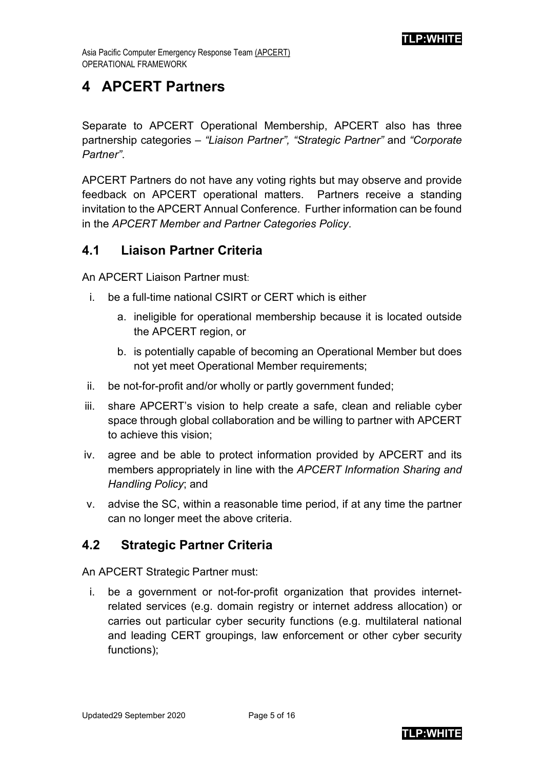## <span id="page-4-0"></span>**4 APCERT Partners**

Separate to APCERT Operational Membership, APCERT also has three partnership categories – *"Liaison Partner", "Strategic Partner"* and *"Corporate Partner"*.

APCERT Partners do not have any voting rights but may observe and provide feedback on APCERT operational matters. Partners receive a standing invitation to the APCERT Annual Conference. Further information can be found in the *APCERT Member and Partner Categories Policy*.

### <span id="page-4-1"></span>**4.1 Liaison Partner Criteria**

An APCERT Liaison Partner must:

- i. be a full-time national CSIRT or CERT which is either
	- a. ineligible for operational membership because it is located outside the APCERT region, or
	- b. is potentially capable of becoming an Operational Member but does not yet meet Operational Member requirements;
- ii. be not-for-profit and/or wholly or partly government funded;
- iii. share APCERT's vision to help create a safe, clean and reliable cyber space through global collaboration and be willing to partner with APCERT to achieve this vision;
- iv. agree and be able to protect information provided by APCERT and its members appropriately in line with the *APCERT Information Sharing and Handling Policy*; and
- v. advise the SC, within a reasonable time period, if at any time the partner can no longer meet the above criteria.

### <span id="page-4-2"></span>**4.2 Strategic Partner Criteria**

An APCERT Strategic Partner must:

i. be a government or not-for-profit organization that provides internetrelated services (e.g. domain registry or internet address allocation) or carries out particular cyber security functions (e.g. multilateral national and leading CERT groupings, law enforcement or other cyber security functions);

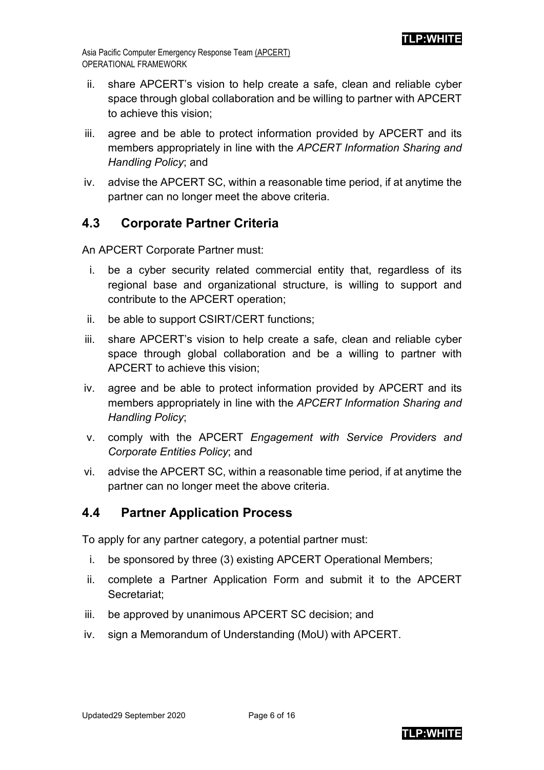- ii. share APCERT's vision to help create a safe, clean and reliable cyber space through global collaboration and be willing to partner with APCERT to achieve this vision;
- iii. agree and be able to protect information provided by APCERT and its members appropriately in line with the *APCERT Information Sharing and Handling Policy*; and
- iv. advise the APCERT SC, within a reasonable time period, if at anytime the partner can no longer meet the above criteria.

### <span id="page-5-0"></span>**4.3 Corporate Partner Criteria**

An APCERT Corporate Partner must:

- i. be a cyber security related commercial entity that, regardless of its regional base and organizational structure, is willing to support and contribute to the APCERT operation;
- ii. be able to support CSIRT/CERT functions;
- iii. share APCERT's vision to help create a safe, clean and reliable cyber space through global collaboration and be a willing to partner with APCERT to achieve this vision;
- iv. agree and be able to protect information provided by APCERT and its members appropriately in line with the *APCERT Information Sharing and Handling Policy*;
- v. comply with the APCERT *Engagement with Service Providers and Corporate Entities Policy*; and
- vi. advise the APCERT SC, within a reasonable time period, if at anytime the partner can no longer meet the above criteria.

### <span id="page-5-1"></span>**4.4 Partner Application Process**

To apply for any partner category, a potential partner must:

- i. be sponsored by three (3) existing APCERT Operational Members;
- ii. complete a Partner Application Form and submit it to the APCERT Secretariat;
- iii. be approved by unanimous APCERT SC decision; and
- iv. sign a Memorandum of Understanding (MoU) with APCERT.

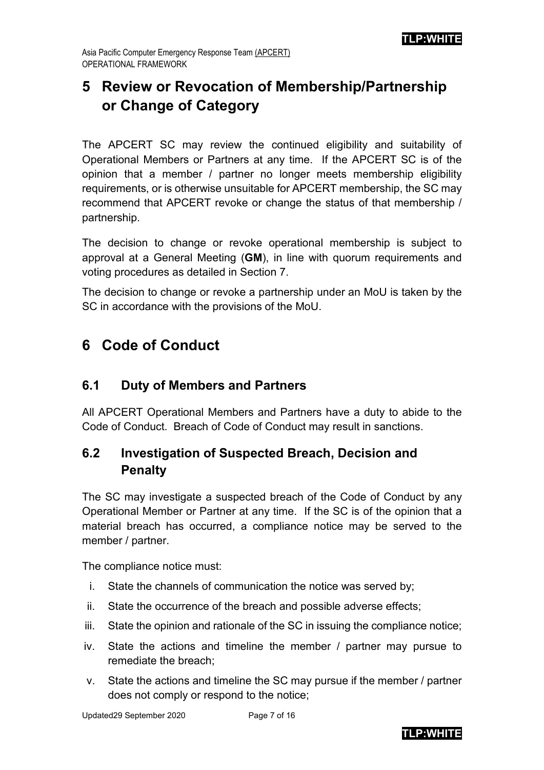# <span id="page-6-0"></span>**5 Review or Revocation of Membership/Partnership or Change of Category**

The APCERT SC may review the continued eligibility and suitability of Operational Members or Partners at any time. If the APCERT SC is of the opinion that a member / partner no longer meets membership eligibility requirements, or is otherwise unsuitable for APCERT membership, the SC may recommend that APCERT revoke or change the status of that membership / partnership.

The decision to change or revoke operational membership is subject to approval at a General Meeting (**GM**), in line with quorum requirements and voting procedures as detailed in Section 7.

The decision to change or revoke a partnership under an MoU is taken by the SC in accordance with the provisions of the MoU.

## <span id="page-6-1"></span>**6 Code of Conduct**

### <span id="page-6-2"></span>**6.1 Duty of Members and Partners**

All APCERT Operational Members and Partners have a duty to abide to the Code of Conduct. Breach of Code of Conduct may result in sanctions.

### <span id="page-6-3"></span>**6.2 Investigation of Suspected Breach, Decision and Penalty**

The SC may investigate a suspected breach of the Code of Conduct by any Operational Member or Partner at any time. If the SC is of the opinion that a material breach has occurred, a compliance notice may be served to the member / partner.

The compliance notice must:

- i. State the channels of communication the notice was served by;
- ii. State the occurrence of the breach and possible adverse effects;
- iii. State the opinion and rationale of the SC in issuing the compliance notice;
- iv. State the actions and timeline the member / partner may pursue to remediate the breach;
- v. State the actions and timeline the SC may pursue if the member / partner does not comply or respond to the notice;

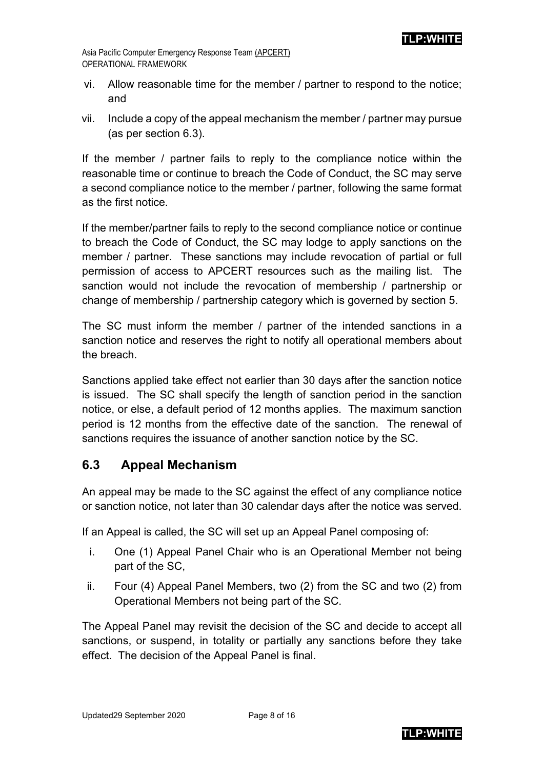- vi. Allow reasonable time for the member / partner to respond to the notice; and
- vii. Include a copy of the appeal mechanism the member / partner may pursue (as per section 6.3).

If the member / partner fails to reply to the compliance notice within the reasonable time or continue to breach the Code of Conduct, the SC may serve a second compliance notice to the member / partner, following the same format as the first notice.

If the member/partner fails to reply to the second compliance notice or continue to breach the Code of Conduct, the SC may lodge to apply sanctions on the member / partner. These sanctions may include revocation of partial or full permission of access to APCERT resources such as the mailing list. The sanction would not include the revocation of membership / partnership or change of membership / partnership category which is governed by section 5.

The SC must inform the member / partner of the intended sanctions in a sanction notice and reserves the right to notify all operational members about the breach.

Sanctions applied take effect not earlier than 30 days after the sanction notice is issued. The SC shall specify the length of sanction period in the sanction notice, or else, a default period of 12 months applies. The maximum sanction period is 12 months from the effective date of the sanction. The renewal of sanctions requires the issuance of another sanction notice by the SC.

### <span id="page-7-0"></span>**6.3 Appeal Mechanism**

An appeal may be made to the SC against the effect of any compliance notice or sanction notice, not later than 30 calendar days after the notice was served.

If an Appeal is called, the SC will set up an Appeal Panel composing of:

- i. One (1) Appeal Panel Chair who is an Operational Member not being part of the SC,
- ii. Four (4) Appeal Panel Members, two (2) from the SC and two (2) from Operational Members not being part of the SC.

The Appeal Panel may revisit the decision of the SC and decide to accept all sanctions, or suspend, in totality or partially any sanctions before they take effect. The decision of the Appeal Panel is final.

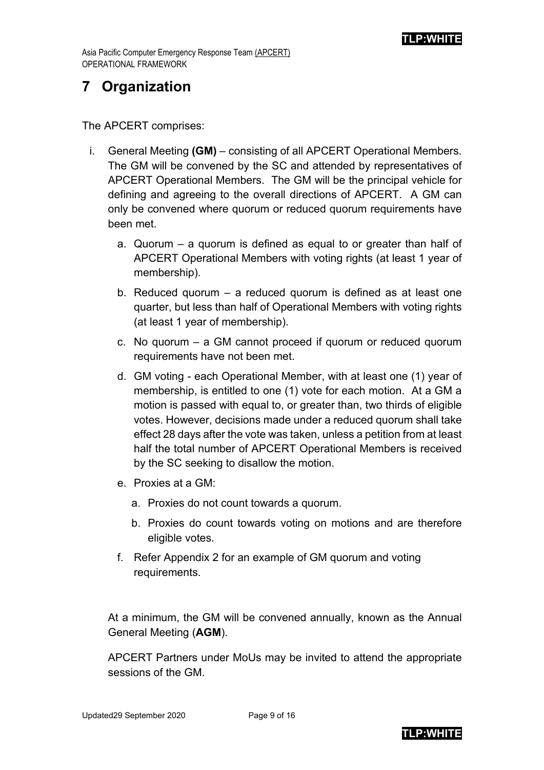## <span id="page-8-0"></span>**7 Organization**

The APCERT comprises:

- i. General Meeting **(GM)** consisting of all APCERT Operational Members. The GM will be convened by the SC and attended by representatives of APCERT Operational Members. The GM will be the principal vehicle for defining and agreeing to the overall directions of APCERT. A GM can only be convened where quorum or reduced quorum requirements have been met.
	- a. Quorum a quorum is defined as equal to or greater than half of APCERT Operational Members with voting rights (at least 1 year of membership).
	- b. Reduced quorum a reduced quorum is defined as at least one quarter, but less than half of Operational Members with voting rights (at least 1 year of membership).
	- c. No quorum a GM cannot proceed if quorum or reduced quorum requirements have not been met.
	- d. GM voting each Operational Member, with at least one (1) year of membership, is entitled to one (1) vote for each motion. At a GM a motion is passed with equal to, or greater than, two thirds of eligible votes. However, decisions made under a reduced quorum shall take effect 28 days after the vote was taken, unless a petition from at least half the total number of APCERT Operational Members is received by the SC seeking to disallow the motion.
	- e. Proxies at a GM:
		- a. Proxies do not count towards a quorum.
		- b. Proxies do count towards voting on motions and are therefore eligible votes.
	- f. Refer Appendix 2 for an example of GM quorum and voting requirements.

At a minimum, the GM will be convened annually, known as the Annual General Meeting (**AGM**).

APCERT Partners under MoUs may be invited to attend the appropriate sessions of the GM.

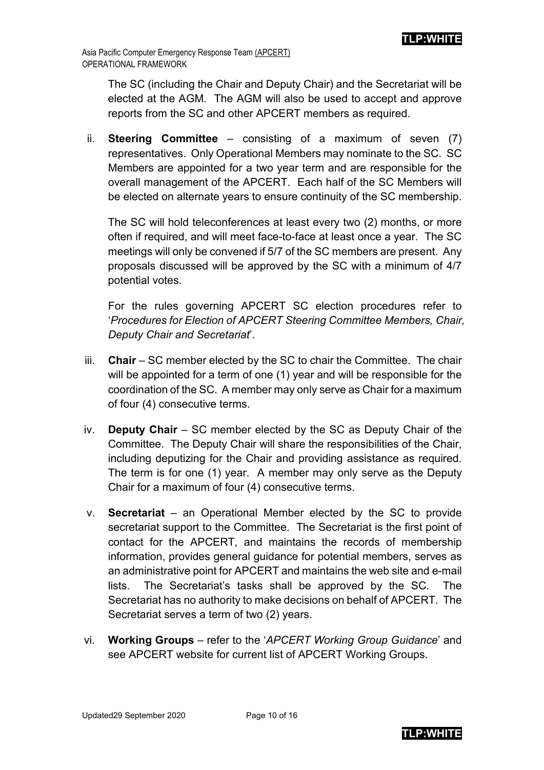The SC (including the Chair and Deputy Chair) and the Secretariat will be elected at the AGM. The AGM will also be used to accept and approve reports from the SC and other APCERT members as required.

ii. **Steering Committee** – consisting of a maximum of seven (7) representatives. Only Operational Members may nominate to the SC. SC Members are appointed for a two year term and are responsible for the overall management of the APCERT. Each half of the SC Members will be elected on alternate years to ensure continuity of the SC membership.

The SC will hold teleconferences at least every two (2) months, or more often if required, and will meet face-to-face at least once a year. The SC meetings will only be convened if 5/7 of the SC members are present. Any proposals discussed will be approved by the SC with a minimum of 4/7 potential votes.

For the rules governing APCERT SC election procedures refer to '*Procedures for Election of APCERT Steering Committee Members, Chair, Deputy Chair and Secretariat*'.

- iii. **Chair** SC member elected by the SC to chair the Committee. The chair will be appointed for a term of one (1) year and will be responsible for the coordination of the SC. A member may only serve as Chair for a maximum of four (4) consecutive terms.
- iv. **Deputy Chair** SC member elected by the SC as Deputy Chair of the Committee. The Deputy Chair will share the responsibilities of the Chair, including deputizing for the Chair and providing assistance as required. The term is for one (1) year. A member may only serve as the Deputy Chair for a maximum of four (4) consecutive terms.
- v. **Secretariat** an Operational Member elected by the SC to provide secretariat support to the Committee. The Secretariat is the first point of contact for the APCERT, and maintains the records of membership information, provides general guidance for potential members, serves as an administrative point for APCERT and maintains the web site and e-mail lists. The Secretariat's tasks shall be approved by the SC. The Secretariat has no authority to make decisions on behalf of APCERT. The Secretariat serves a term of two (2) years.
- vi. **Working Groups** refer to the '*APCERT Working Group Guidance*' and see APCERT website for current list of APCERT Working Groups.

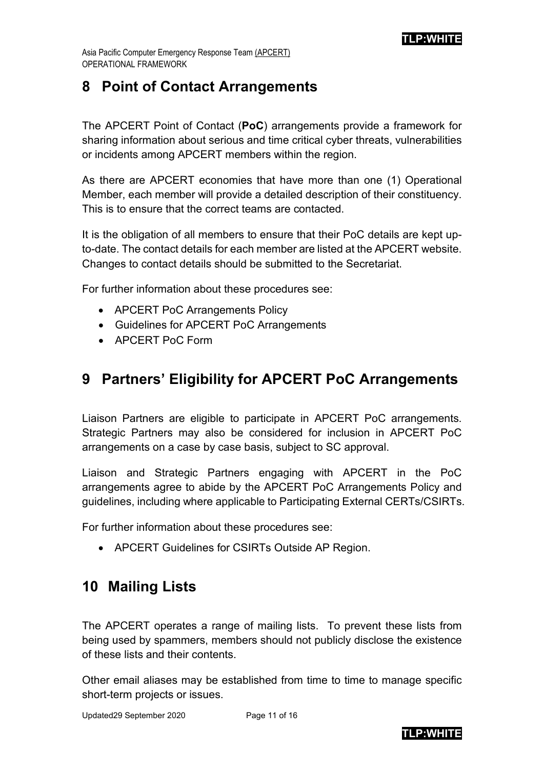## <span id="page-10-0"></span>**8 Point of Contact Arrangements**

The APCERT Point of Contact (**PoC**) arrangements provide a framework for sharing information about serious and time critical cyber threats, vulnerabilities or incidents among APCERT members within the region.

As there are APCERT economies that have more than one (1) Operational Member, each member will provide a detailed description of their constituency. This is to ensure that the correct teams are contacted.

It is the obligation of all members to ensure that their PoC details are kept upto-date. The contact details for each member are listed at the APCERT website. Changes to contact details should be submitted to the Secretariat.

For further information about these procedures see:

- APCERT PoC Arrangements Policy
- Guidelines for APCERT PoC Arrangements
- APCERT PoC Form

## <span id="page-10-1"></span>**9 Partners' Eligibility for APCERT PoC Arrangements**

Liaison Partners are eligible to participate in APCERT PoC arrangements. Strategic Partners may also be considered for inclusion in APCERT PoC arrangements on a case by case basis, subject to SC approval.

Liaison and Strategic Partners engaging with APCERT in the PoC arrangements agree to abide by the APCERT PoC Arrangements Policy and guidelines, including where applicable to Participating External CERTs/CSIRTs.

For further information about these procedures see:

• APCERT Guidelines for CSIRTs Outside AP Region.

# <span id="page-10-2"></span>**10 Mailing Lists**

The APCERT operates a range of mailing lists. To prevent these lists from being used by spammers, members should not publicly disclose the existence of these lists and their contents.

Other email aliases may be established from time to time to manage specific short-term projects or issues.

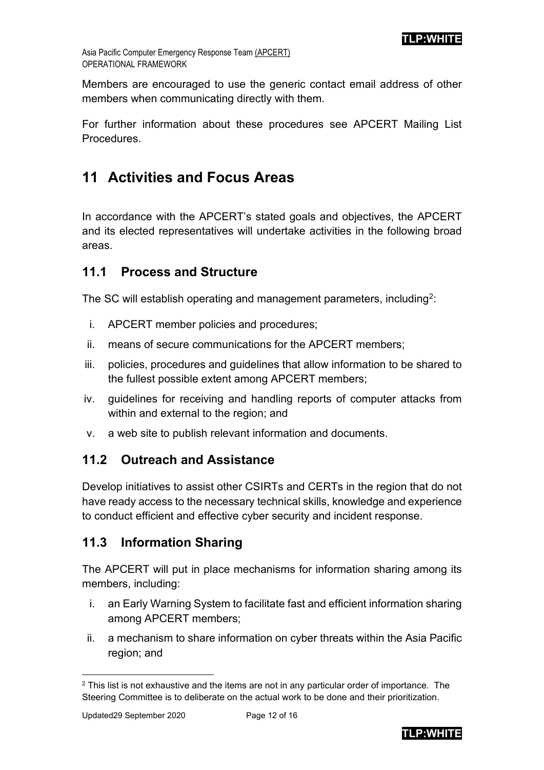Asia Pacific Computer Emergency Response Team (APCERT) OPERATIONAL FRAMEWORK

Members are encouraged to use the generic contact email address of other members when communicating directly with them.

For further information about these procedures see APCERT Mailing List **Procedures** 

# <span id="page-11-0"></span>**11 Activities and Focus Areas**

In accordance with the APCERT's stated goals and objectives, the APCERT and its elected representatives will undertake activities in the following broad areas.

### <span id="page-11-1"></span>**11.1 Process and Structure**

The SC will establish operating and management parameters, including<sup>[2](#page-11-4)</sup>:

- i. APCERT member policies and procedures;
- ii. means of secure communications for the APCERT members;
- iii. policies, procedures and guidelines that allow information to be shared to the fullest possible extent among APCERT members;
- iv. guidelines for receiving and handling reports of computer attacks from within and external to the region; and
- v. a web site to publish relevant information and documents.

### <span id="page-11-2"></span>**11.2 Outreach and Assistance**

Develop initiatives to assist other CSIRTs and CERTs in the region that do not have ready access to the necessary technical skills, knowledge and experience to conduct efficient and effective cyber security and incident response.

### <span id="page-11-3"></span>**11.3 Information Sharing**

The APCERT will put in place mechanisms for information sharing among its members, including:

- i. an Early Warning System to facilitate fast and efficient information sharing among APCERT members;
- ii. a mechanism to share information on cyber threats within the Asia Pacific region; and



<span id="page-11-4"></span> $2$  This list is not exhaustive and the items are not in any particular order of importance. The Steering Committee is to deliberate on the actual work to be done and their prioritization.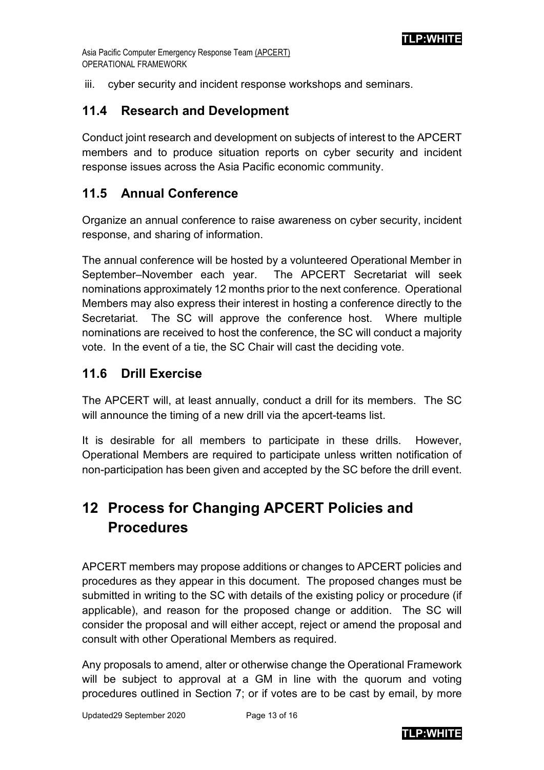iii. cyber security and incident response workshops and seminars.

### <span id="page-12-0"></span>**11.4 Research and Development**

Conduct joint research and development on subjects of interest to the APCERT members and to produce situation reports on cyber security and incident response issues across the Asia Pacific economic community.

### <span id="page-12-1"></span>**11.5 Annual Conference**

Organize an annual conference to raise awareness on cyber security, incident response, and sharing of information.

The annual conference will be hosted by a volunteered Operational Member in September–November each year. The APCERT Secretariat will seek nominations approximately 12 months prior to the next conference. Operational Members may also express their interest in hosting a conference directly to the Secretariat. The SC will approve the conference host. Where multiple nominations are received to host the conference, the SC will conduct a majority vote. In the event of a tie, the SC Chair will cast the deciding vote.

### <span id="page-12-2"></span>**11.6 Drill Exercise**

The APCERT will, at least annually, conduct a drill for its members. The SC will announce the timing of a new drill via the apcert-teams list.

It is desirable for all members to participate in these drills. However, Operational Members are required to participate unless written notification of non-participation has been given and accepted by the SC before the drill event.

# <span id="page-12-3"></span>**12 Process for Changing APCERT Policies and Procedures**

APCERT members may propose additions or changes to APCERT policies and procedures as they appear in this document. The proposed changes must be submitted in writing to the SC with details of the existing policy or procedure (if applicable), and reason for the proposed change or addition. The SC will consider the proposal and will either accept, reject or amend the proposal and consult with other Operational Members as required.

Any proposals to amend, alter or otherwise change the Operational Framework will be subject to approval at a GM in line with the quorum and voting procedures outlined in Section 7; or if votes are to be cast by email, by more

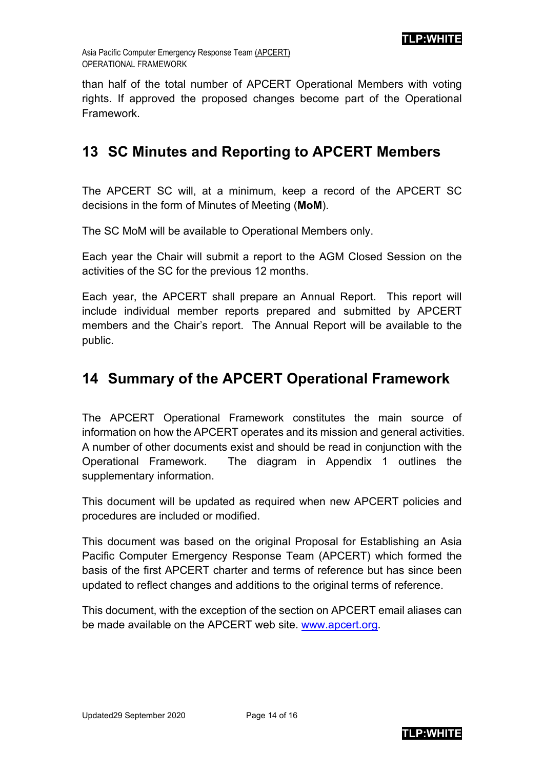than half of the total number of APCERT Operational Members with voting rights. If approved the proposed changes become part of the Operational Framework.

## <span id="page-13-0"></span>**13 SC Minutes and Reporting to APCERT Members**

The APCERT SC will, at a minimum, keep a record of the APCERT SC decisions in the form of Minutes of Meeting (**MoM**).

The SC MoM will be available to Operational Members only.

Each year the Chair will submit a report to the AGM Closed Session on the activities of the SC for the previous 12 months.

Each year, the APCERT shall prepare an Annual Report. This report will include individual member reports prepared and submitted by APCERT members and the Chair's report. The Annual Report will be available to the public.

### <span id="page-13-1"></span>**14 Summary of the APCERT Operational Framework**

The APCERT Operational Framework constitutes the main source of information on how the APCERT operates and its mission and general activities. A number of other documents exist and should be read in conjunction with the Operational Framework. The diagram in Appendix 1 outlines the supplementary information.

This document will be updated as required when new APCERT policies and procedures are included or modified.

This document was based on the original Proposal for Establishing an Asia Pacific Computer Emergency Response Team (APCERT) which formed the basis of the first APCERT charter and terms of reference but has since been updated to reflect changes and additions to the original terms of reference.

This document, with the exception of the section on APCERT email aliases can be made available on the APCERT web site. [www.apcert.org.](http://www.apcert.org/)

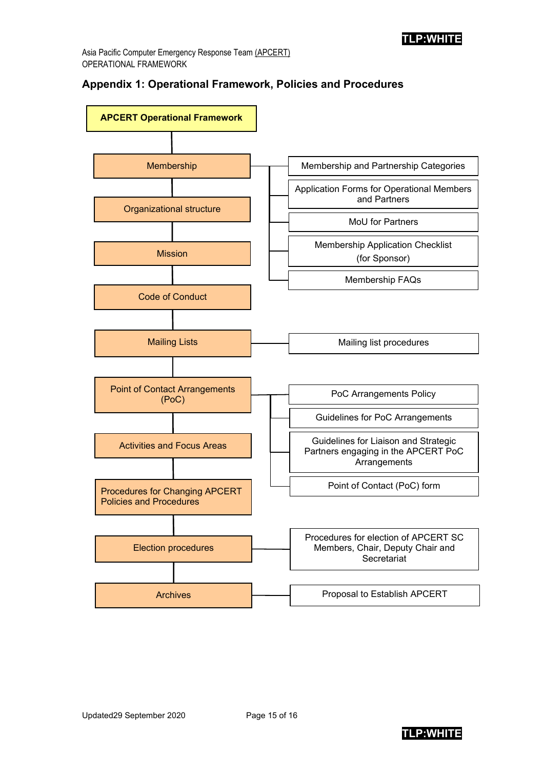#### **Appendix 1: Operational Framework, Policies and Procedures**